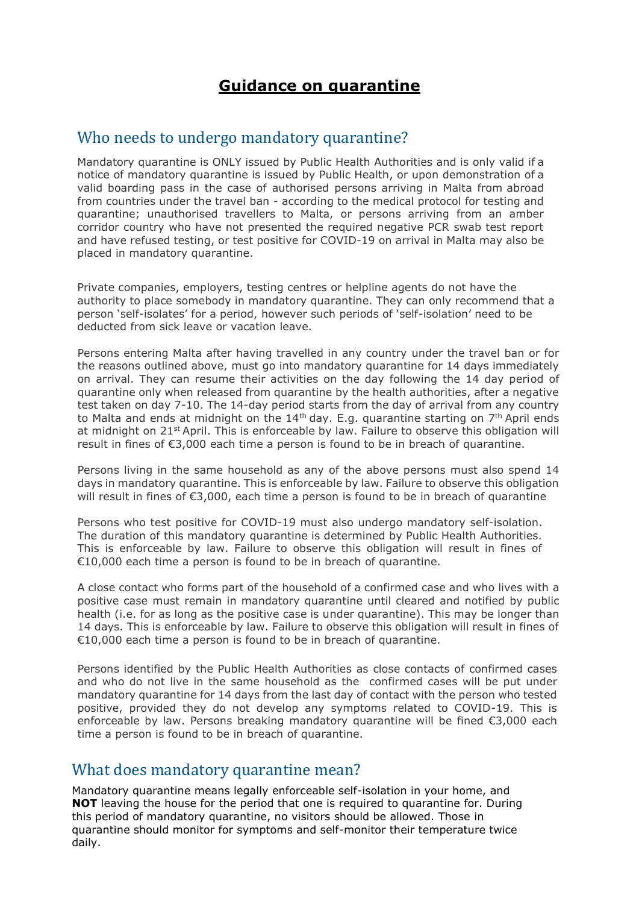## **Guidance on quarantine**

#### Who needs to undergo mandatory quarantine?

Mandatory quarantine is ONLY issued by Public Health Authorities and is only valid if a notice of mandatory quarantine is issued by Public Health, or upon demonstration of a valid boarding pass in the case of authorised persons arriving in Malta from abroad from countries under the travel ban - according to the medical protocol for testing and quarantine; unauthorised travellers to Malta, or persons arriving from an amber corridor country who have not presented the required negative PCR swab test report and have refused testing, or test positive for COVID-19 on arrival in Malta may also be placed in mandatory quarantine.

Private companies, employers, testing centres or helpline agents do not have the authority to place somebody in mandatory quarantine. They can only recommend that a person 'self-isolates' for a period, however such periods of 'self-isolation' need to be deducted from sick leave or vacation leave.

Persons entering Malta after having travelled in any country under the travel ban or for the reasons outlined above, must go into mandatory quarantine for 14 days immediately on arrival. They can resume their activities on the day following the 14 day period of quarantine only when released from quarantine by the health authorities, after a negative test taken on day 7-10. The 14-day period starts from the day of arrival from any country to Malta and ends at midnight on the  $14<sup>th</sup>$  day. E.g. quarantine starting on  $7<sup>th</sup>$  April ends at midnight on 21<sup>st</sup> April. This is enforceable by law. Failure to observe this obligation will result in fines of €3,000 each time a person is found to be in breach of quarantine.

Persons living in the same household as any of the above persons must also spend 14 days in mandatory quarantine. This is enforceable by law. Failure to observe this obligation will result in fines of €3,000, each time a person is found to be in breach of quarantine

Persons who test positive for COVID-19 must also undergo mandatory self-isolation. The duration of this mandatory quarantine is determined by Public Health Authorities. This is enforceable by law. Failure to observe this obligation will result in fines of €10,000 each time a person is found to be in breach of quarantine.

A close contact who forms part of the household of a confirmed case and who lives with a positive case must remain in mandatory quarantine until cleared and notified by public health (i.e. for as long as the positive case is under quarantine). This may be longer than 14 days. This is enforceable by law. Failure to observe this obligation will result in fines of €10,000 each time a person is found to be in breach of quarantine.

Persons identified by the Public Health Authorities as close contacts of confirmed cases and who do not live in the same household as the confirmed cases will be put under mandatory quarantine for 14 days from the last day of contact with the person who tested positive, provided they do not develop any symptoms related to COVID-19. This is enforceable by law. Persons breaking mandatory quarantine will be fined €3,000 each time a person is found to be in breach of quarantine.

#### What does mandatory quarantine mean?

Mandatory quarantine means legally enforceable self-isolation in your home, and **NOT** leaving the house for the period that one is required to quarantine for. During this period of mandatory quarantine, no visitors should be allowed. Those in quarantine should monitor for symptoms and self-monitor their temperature twice daily.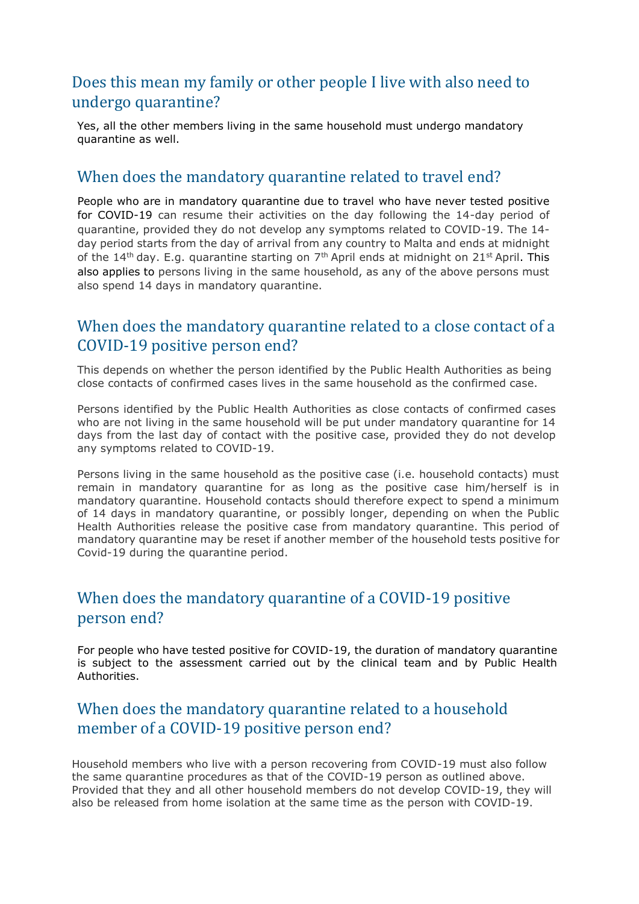### Does this mean my family or other people I live with also need to undergo quarantine?

Yes, all the other members living in the same household must undergo mandatory quarantine as well.

#### When does the mandatory quarantine related to travel end?

People who are in mandatory quarantine due to travel who have never tested positive for COVID-19 can resume their activities on the day following the 14-day period of quarantine, provided they do not develop any symptoms related to COVID-19. The 14 day period starts from the day of arrival from any country to Malta and ends at midnight of the 14<sup>th</sup> day. E.g. quarantine starting on  $7<sup>th</sup>$  April ends at midnight on 21<sup>st</sup> April. This also applies to persons living in the same household, as any of the above persons must also spend 14 days in mandatory quarantine.

### When does the mandatory quarantine related to a close contact of a COVID-19 positive person end?

This depends on whether the person identified by the Public Health Authorities as being close contacts of confirmed cases lives in the same household as the confirmed case.

Persons identified by the Public Health Authorities as close contacts of confirmed cases who are not living in the same household will be put under mandatory quarantine for 14 days from the last day of contact with the positive case, provided they do not develop any symptoms related to COVID-19.

Persons living in the same household as the positive case (i.e. household contacts) must remain in mandatory quarantine for as long as the positive case him/herself is in mandatory quarantine. Household contacts should therefore expect to spend a minimum of 14 days in mandatory quarantine, or possibly longer, depending on when the Public Health Authorities release the positive case from mandatory quarantine. This period of mandatory quarantine may be reset if another member of the household tests positive for Covid-19 during the quarantine period.

### When does the mandatory quarantine of a COVID-19 positive person end?

For people who have tested positive for COVID-19, the duration of mandatory quarantine is subject to the assessment carried out by the clinical team and by Public Health Authorities.

## When does the mandatory quarantine related to a household member of a COVID-19 positive person end?

Household members who live with a person recovering from COVID-19 must also follow the same quarantine procedures as that of the COVID-19 person as outlined above. Provided that they and all other household members do not develop COVID-19, they will also be released from home isolation at the same time as the person with COVID-19.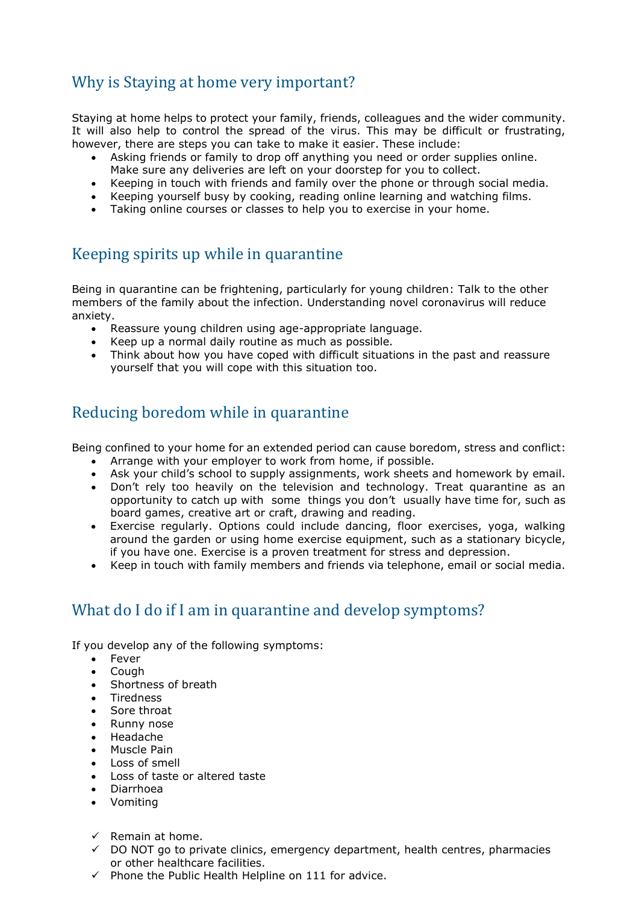# Why is Staying at home very important?

Staying at home helps to protect your family, friends, colleagues and the wider community. It will also help to control the spread of the virus. This may be difficult or frustrating, however, there are steps you can take to make it easier. These include:

- Asking friends or family to drop off anything you need or order supplies online. Make sure any deliveries are left on your doorstep for you to collect.
- Keeping in touch with friends and family over the phone or through social media.
- Keeping yourself busy by cooking, reading online learning and watching films.
- Taking online courses or classes to help you to exercise in your home.

## Keeping spirits up while in quarantine

Being in quarantine can be frightening, particularly for young children: Talk to the other members of the family about the infection. Understanding novel coronavirus will reduce anxiety.

- Reassure young children using age-appropriate language.
- Keep up a normal daily routine as much as possible.
- Think about how you have coped with difficult situations in the past and reassure yourself that you will cope with this situation too.

## Reducing boredom while in quarantine

Being confined to your home for an extended period can cause boredom, stress and conflict:

- Arrange with your employer to work from home, if possible.
- Ask your child's school to supply assignments, work sheets and homework by email.
- Don't rely too heavily on the television and technology. Treat quarantine as an opportunity to catch up with some things you don't usually have time for, such as board games, creative art or craft, drawing and reading.
- Exercise regularly. Options could include dancing, floor exercises, yoga, walking around the garden or using home exercise equipment, such as a stationary bicycle, if you have one. Exercise is a proven treatment for stress and depression.
- Keep in touch with family members and friends via telephone, email or social media.

## What do I do if I am in quarantine and develop symptoms?

If you develop any of the following symptoms:

- Fever
- Cough
- Shortness of breath
- Tiredness
- Sore throat
- Runny nose
- Headache
- Muscle Pain
- Loss of smell
- Loss of taste or altered taste
- Diarrhoea
- Vomiting
- $\checkmark$  Remain at home.
- $\checkmark$  DO NOT go to private clinics, emergency department, health centres, pharmacies or other healthcare facilities.
- ✓ Phone the Public Health Helpline on 111 for advice.